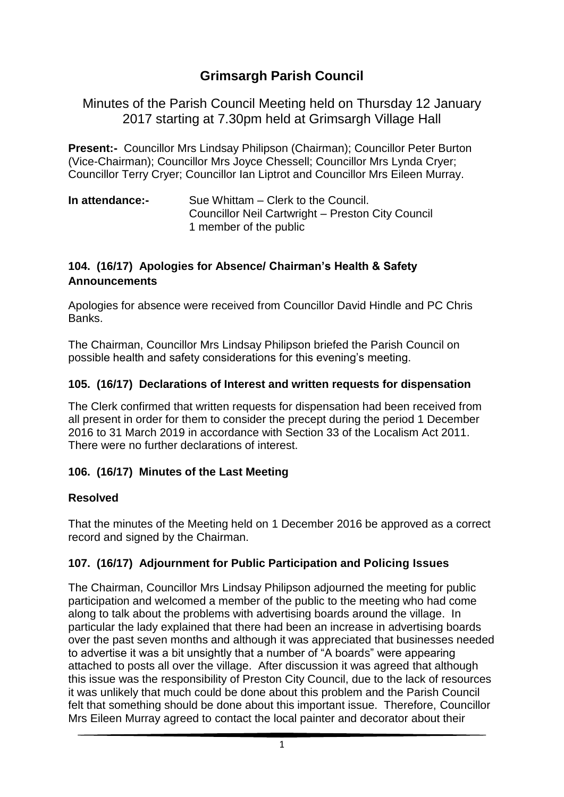# **Grimsargh Parish Council**

Minutes of the Parish Council Meeting held on Thursday 12 January 2017 starting at 7.30pm held at Grimsargh Village Hall

**Present:-** Councillor Mrs Lindsay Philipson (Chairman); Councillor Peter Burton (Vice-Chairman); Councillor Mrs Joyce Chessell; Councillor Mrs Lynda Cryer; Councillor Terry Cryer; Councillor Ian Liptrot and Councillor Mrs Eileen Murray.

| In attendance:- | Sue Whittam – Clerk to the Council.               |
|-----------------|---------------------------------------------------|
|                 | Councillor Neil Cartwright - Preston City Council |
|                 | 1 member of the public                            |

### **104. (16/17) Apologies for Absence/ Chairman's Health & Safety Announcements**

Apologies for absence were received from Councillor David Hindle and PC Chris **Banks** 

The Chairman, Councillor Mrs Lindsay Philipson briefed the Parish Council on possible health and safety considerations for this evening's meeting.

#### **105. (16/17) Declarations of Interest and written requests for dispensation**

The Clerk confirmed that written requests for dispensation had been received from all present in order for them to consider the precept during the period 1 December 2016 to 31 March 2019 in accordance with Section 33 of the Localism Act 2011. There were no further declarations of interest.

### **106. (16/17) Minutes of the Last Meeting**

#### **Resolved**

That the minutes of the Meeting held on 1 December 2016 be approved as a correct record and signed by the Chairman.

### **107. (16/17) Adjournment for Public Participation and Policing Issues**

The Chairman, Councillor Mrs Lindsay Philipson adjourned the meeting for public participation and welcomed a member of the public to the meeting who had come along to talk about the problems with advertising boards around the village. In particular the lady explained that there had been an increase in advertising boards over the past seven months and although it was appreciated that businesses needed to advertise it was a bit unsightly that a number of "A boards" were appearing attached to posts all over the village. After discussion it was agreed that although this issue was the responsibility of Preston City Council, due to the lack of resources it was unlikely that much could be done about this problem and the Parish Council felt that something should be done about this important issue. Therefore, Councillor Mrs Eileen Murray agreed to contact the local painter and decorator about their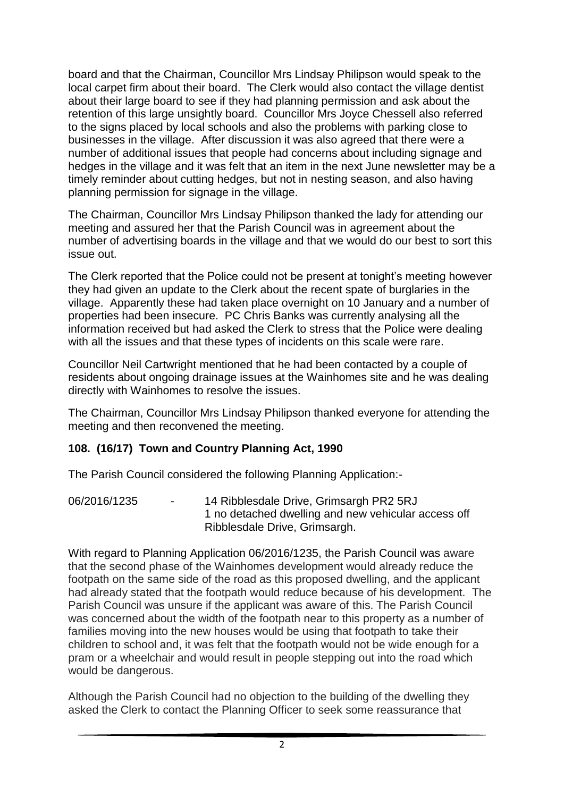board and that the Chairman, Councillor Mrs Lindsay Philipson would speak to the local carpet firm about their board. The Clerk would also contact the village dentist about their large board to see if they had planning permission and ask about the retention of this large unsightly board. Councillor Mrs Joyce Chessell also referred to the signs placed by local schools and also the problems with parking close to businesses in the village. After discussion it was also agreed that there were a number of additional issues that people had concerns about including signage and hedges in the village and it was felt that an item in the next June newsletter may be a timely reminder about cutting hedges, but not in nesting season, and also having planning permission for signage in the village.

The Chairman, Councillor Mrs Lindsay Philipson thanked the lady for attending our meeting and assured her that the Parish Council was in agreement about the number of advertising boards in the village and that we would do our best to sort this issue out.

The Clerk reported that the Police could not be present at tonight's meeting however they had given an update to the Clerk about the recent spate of burglaries in the village. Apparently these had taken place overnight on 10 January and a number of properties had been insecure. PC Chris Banks was currently analysing all the information received but had asked the Clerk to stress that the Police were dealing with all the issues and that these types of incidents on this scale were rare.

Councillor Neil Cartwright mentioned that he had been contacted by a couple of residents about ongoing drainage issues at the Wainhomes site and he was dealing directly with Wainhomes to resolve the issues.

The Chairman, Councillor Mrs Lindsay Philipson thanked everyone for attending the meeting and then reconvened the meeting.

### **108. (16/17) Town and Country Planning Act, 1990**

The Parish Council considered the following Planning Application:-

06/2016/1235 - 14 Ribblesdale Drive, Grimsargh PR2 5RJ 1 no detached dwelling and new vehicular access off Ribblesdale Drive, Grimsargh.

With regard to Planning Application 06/2016/1235, the Parish Council was aware that the second phase of the Wainhomes development would already reduce the footpath on the same side of the road as this proposed dwelling, and the applicant had already stated that the footpath would reduce because of his development. The Parish Council was unsure if the applicant was aware of this. The Parish Council was concerned about the width of the footpath near to this property as a number of families moving into the new houses would be using that footpath to take their children to school and, it was felt that the footpath would not be wide enough for a pram or a wheelchair and would result in people stepping out into the road which would be dangerous.

Although the Parish Council had no objection to the building of the dwelling they asked the Clerk to contact the Planning Officer to seek some reassurance that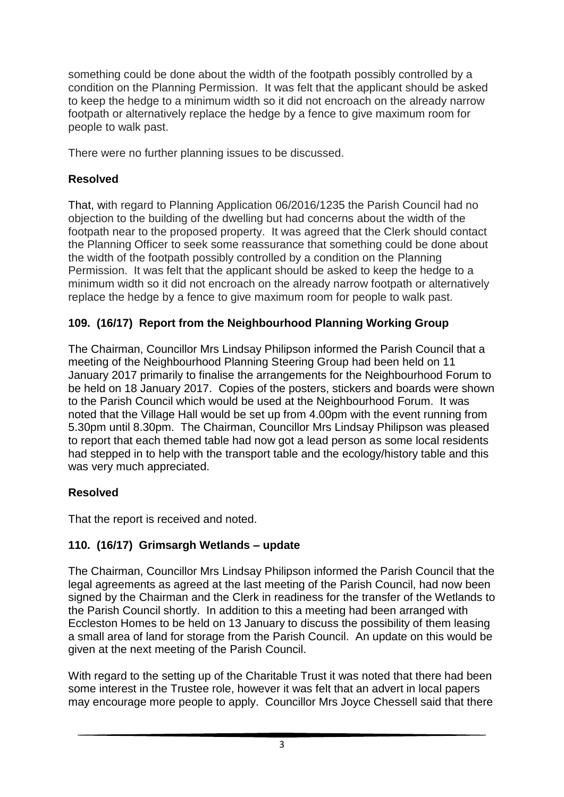something could be done about the width of the footpath possibly controlled by a condition on the Planning Permission. It was felt that the applicant should be asked to keep the hedge to a minimum width so it did not encroach on the already narrow footpath or alternatively replace the hedge by a fence to give maximum room for people to walk past.

There were no further planning issues to be discussed.

### **Resolved**

That, with regard to Planning Application 06/2016/1235 the Parish Council had no objection to the building of the dwelling but had concerns about the width of the footpath near to the proposed property. It was agreed that the Clerk should contact the Planning Officer to seek some reassurance that something could be done about the width of the footpath possibly controlled by a condition on the Planning Permission. It was felt that the applicant should be asked to keep the hedge to a minimum width so it did not encroach on the already narrow footpath or alternatively replace the hedge by a fence to give maximum room for people to walk past.

### **109. (16/17) Report from the Neighbourhood Planning Working Group**

The Chairman, Councillor Mrs Lindsay Philipson informed the Parish Council that a meeting of the Neighbourhood Planning Steering Group had been held on 11 January 2017 primarily to finalise the arrangements for the Neighbourhood Forum to be held on 18 January 2017. Copies of the posters, stickers and boards were shown to the Parish Council which would be used at the Neighbourhood Forum. It was noted that the Village Hall would be set up from 4.00pm with the event running from 5.30pm until 8.30pm. The Chairman, Councillor Mrs Lindsay Philipson was pleased to report that each themed table had now got a lead person as some local residents had stepped in to help with the transport table and the ecology/history table and this was very much appreciated.

## **Resolved**

That the report is received and noted.

## **110. (16/17) Grimsargh Wetlands – update**

The Chairman, Councillor Mrs Lindsay Philipson informed the Parish Council that the legal agreements as agreed at the last meeting of the Parish Council, had now been signed by the Chairman and the Clerk in readiness for the transfer of the Wetlands to the Parish Council shortly. In addition to this a meeting had been arranged with Eccleston Homes to be held on 13 January to discuss the possibility of them leasing a small area of land for storage from the Parish Council. An update on this would be given at the next meeting of the Parish Council.

With regard to the setting up of the Charitable Trust it was noted that there had been some interest in the Trustee role, however it was felt that an advert in local papers may encourage more people to apply. Councillor Mrs Joyce Chessell said that there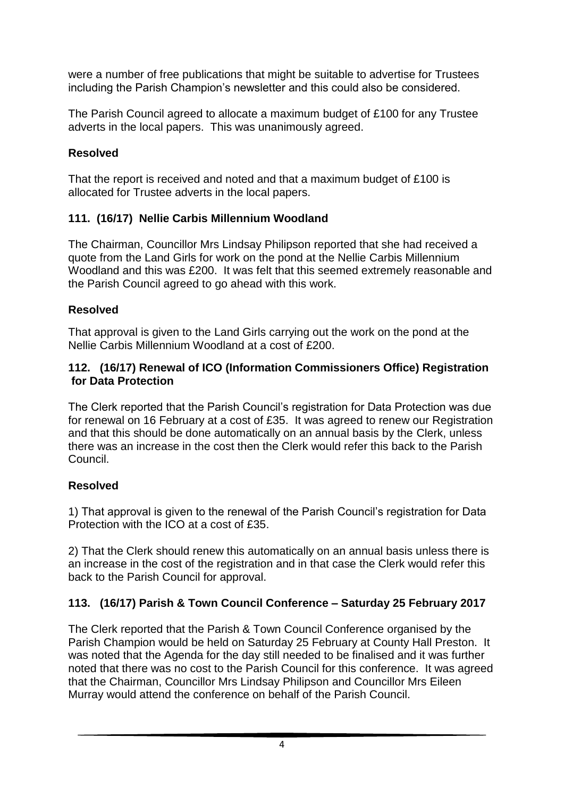were a number of free publications that might be suitable to advertise for Trustees including the Parish Champion's newsletter and this could also be considered.

The Parish Council agreed to allocate a maximum budget of £100 for any Trustee adverts in the local papers. This was unanimously agreed.

### **Resolved**

That the report is received and noted and that a maximum budget of £100 is allocated for Trustee adverts in the local papers.

## **111. (16/17) Nellie Carbis Millennium Woodland**

The Chairman, Councillor Mrs Lindsay Philipson reported that she had received a quote from the Land Girls for work on the pond at the Nellie Carbis Millennium Woodland and this was £200. It was felt that this seemed extremely reasonable and the Parish Council agreed to go ahead with this work.

### **Resolved**

That approval is given to the Land Girls carrying out the work on the pond at the Nellie Carbis Millennium Woodland at a cost of £200.

#### **112. (16/17) Renewal of ICO (Information Commissioners Office) Registration for Data Protection**

The Clerk reported that the Parish Council's registration for Data Protection was due for renewal on 16 February at a cost of £35. It was agreed to renew our Registration and that this should be done automatically on an annual basis by the Clerk, unless there was an increase in the cost then the Clerk would refer this back to the Parish Council.

## **Resolved**

1) That approval is given to the renewal of the Parish Council's registration for Data Protection with the ICO at a cost of £35.

2) That the Clerk should renew this automatically on an annual basis unless there is an increase in the cost of the registration and in that case the Clerk would refer this back to the Parish Council for approval.

## **113. (16/17) Parish & Town Council Conference – Saturday 25 February 2017**

The Clerk reported that the Parish & Town Council Conference organised by the Parish Champion would be held on Saturday 25 February at County Hall Preston. It was noted that the Agenda for the day still needed to be finalised and it was further noted that there was no cost to the Parish Council for this conference. It was agreed that the Chairman, Councillor Mrs Lindsay Philipson and Councillor Mrs Eileen Murray would attend the conference on behalf of the Parish Council.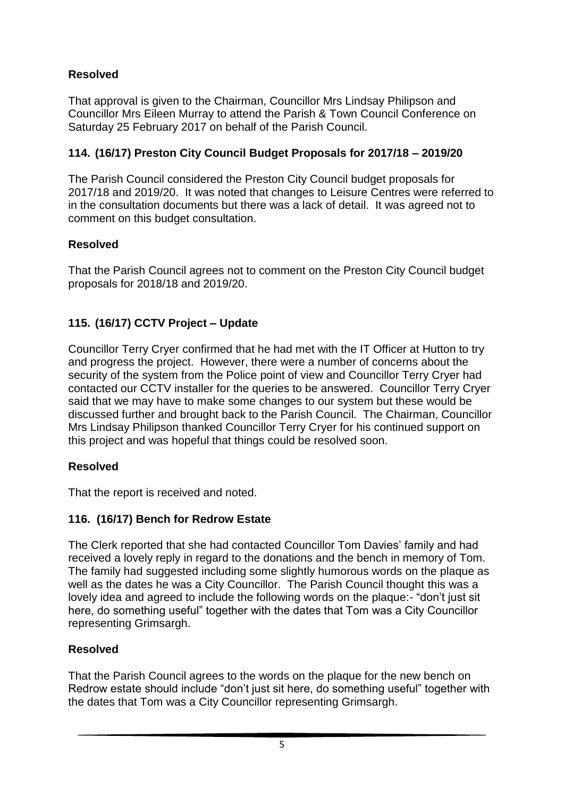## **Resolved**

That approval is given to the Chairman, Councillor Mrs Lindsay Philipson and Councillor Mrs Eileen Murray to attend the Parish & Town Council Conference on Saturday 25 February 2017 on behalf of the Parish Council.

### **114. (16/17) Preston City Council Budget Proposals for 2017/18 – 2019/20**

The Parish Council considered the Preston City Council budget proposals for 2017/18 and 2019/20. It was noted that changes to Leisure Centres were referred to in the consultation documents but there was a lack of detail. It was agreed not to comment on this budget consultation.

### **Resolved**

That the Parish Council agrees not to comment on the Preston City Council budget proposals for 2018/18 and 2019/20.

### **115. (16/17) CCTV Project – Update**

Councillor Terry Cryer confirmed that he had met with the IT Officer at Hutton to try and progress the project. However, there were a number of concerns about the security of the system from the Police point of view and Councillor Terry Cryer had contacted our CCTV installer for the queries to be answered. Councillor Terry Cryer said that we may have to make some changes to our system but these would be discussed further and brought back to the Parish Council. The Chairman, Councillor Mrs Lindsay Philipson thanked Councillor Terry Cryer for his continued support on this project and was hopeful that things could be resolved soon.

### **Resolved**

That the report is received and noted.

## **116. (16/17) Bench for Redrow Estate**

The Clerk reported that she had contacted Councillor Tom Davies' family and had received a lovely reply in regard to the donations and the bench in memory of Tom. The family had suggested including some slightly humorous words on the plaque as well as the dates he was a City Councillor. The Parish Council thought this was a lovely idea and agreed to include the following words on the plaque:- "don't just sit here, do something useful" together with the dates that Tom was a City Councillor representing Grimsargh.

## **Resolved**

That the Parish Council agrees to the words on the plaque for the new bench on Redrow estate should include "don't just sit here, do something useful" together with the dates that Tom was a City Councillor representing Grimsargh.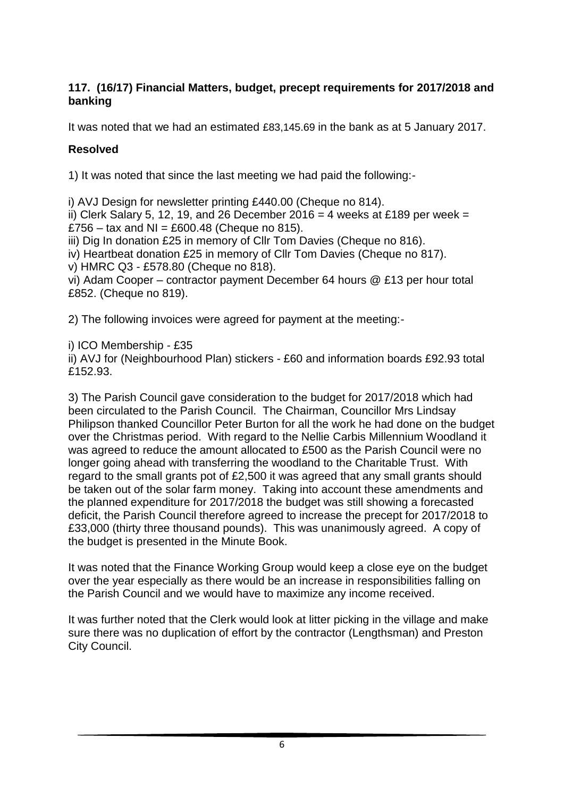#### **117. (16/17) Financial Matters, budget, precept requirements for 2017/2018 and banking**

It was noted that we had an estimated £83,145.69 in the bank as at 5 January 2017.

### **Resolved**

1) It was noted that since the last meeting we had paid the following:-

i) AVJ Design for newsletter printing £440.00 (Cheque no 814).

ii) Clerk Salary 5, 12, 19, and 26 December 2016 = 4 weeks at £189 per week = £756 – tax and NI = £600.48 (Cheque no 815).

iii) Dig In donation £25 in memory of Cllr Tom Davies (Cheque no 816).

iv) Heartbeat donation £25 in memory of Cllr Tom Davies (Cheque no 817).

v) HMRC Q3 - £578.80 (Cheque no 818).

vi) Adam Cooper – contractor payment December 64 hours @ £13 per hour total £852. (Cheque no 819).

2) The following invoices were agreed for payment at the meeting:-

i) ICO Membership - £35

ii) AVJ for (Neighbourhood Plan) stickers - £60 and information boards £92.93 total £152.93.

3) The Parish Council gave consideration to the budget for 2017/2018 which had been circulated to the Parish Council. The Chairman, Councillor Mrs Lindsay Philipson thanked Councillor Peter Burton for all the work he had done on the budget over the Christmas period. With regard to the Nellie Carbis Millennium Woodland it was agreed to reduce the amount allocated to £500 as the Parish Council were no longer going ahead with transferring the woodland to the Charitable Trust. With regard to the small grants pot of £2,500 it was agreed that any small grants should be taken out of the solar farm money. Taking into account these amendments and the planned expenditure for 2017/2018 the budget was still showing a forecasted deficit, the Parish Council therefore agreed to increase the precept for 2017/2018 to £33,000 (thirty three thousand pounds). This was unanimously agreed. A copy of the budget is presented in the Minute Book.

It was noted that the Finance Working Group would keep a close eye on the budget over the year especially as there would be an increase in responsibilities falling on the Parish Council and we would have to maximize any income received.

It was further noted that the Clerk would look at litter picking in the village and make sure there was no duplication of effort by the contractor (Lengthsman) and Preston City Council.